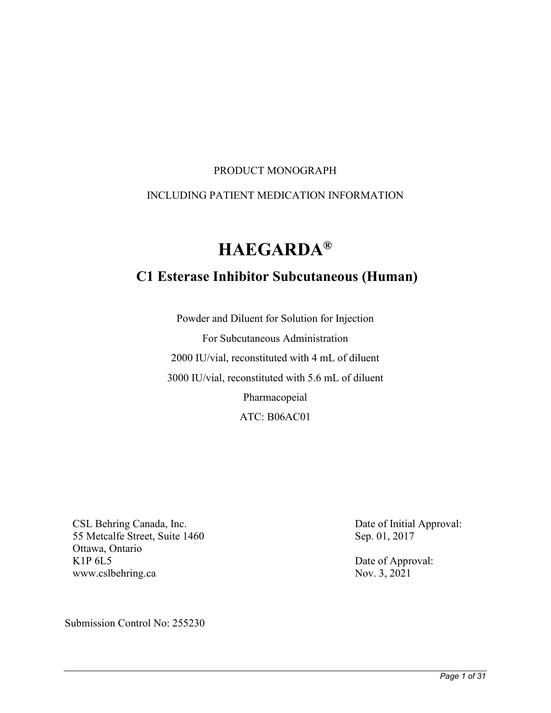#### PRODUCT MONOGRAPH

#### INCLUDING PATIENT MEDICATION INFORMATION

# **HAEGARDA®**

# **C1 Esterase Inhibitor Subcutaneous (Human)**

Powder and Diluent for Solution for Injection For Subcutaneous Administration 2000 IU/vial, reconstituted with 4 mL of diluent 3000 IU/vial, reconstituted with 5.6 mL of diluent Pharmacopeial ATC: B06AC01

CSL Behring Canada, Inc. 55 Metcalfe Street, Suite 1460 Ottawa, Ontario K1P 6L5 [www.cslbehring.ca](file://cslg1.cslg.net/Bioplasma/OTW/Regulatory%20Affairs/Submissions/Haegarda/2020-XX-XX_XXXXXX_SNDS02_Peds%20Indication_Extension%20Study/www.cslbehring.ca)

Submission Control No: 255230

Date of Initial Approval: Sep. 01, 2017

Date of Approval: Nov. 3, 2021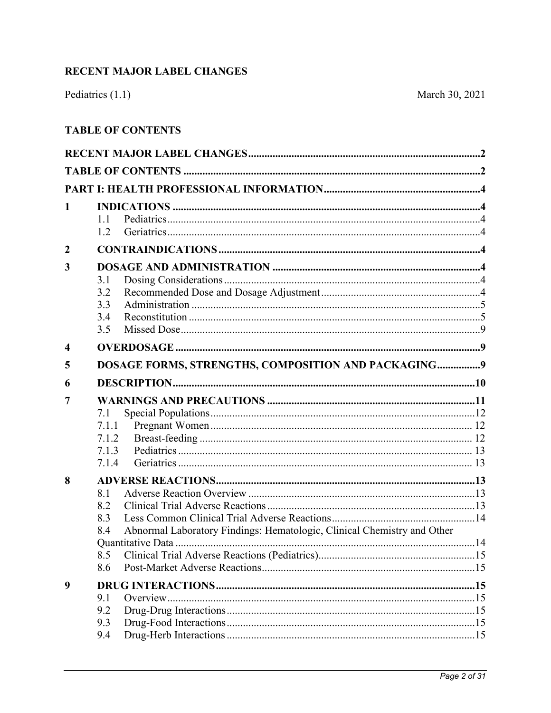# <span id="page-1-0"></span>RECENT MAJOR LABEL CHANGES

# <span id="page-1-1"></span>**TABLE OF CONTENTS**

| 1                | 1.1<br>1.2                                                                                                        |  |  |
|------------------|-------------------------------------------------------------------------------------------------------------------|--|--|
| $\boldsymbol{2}$ |                                                                                                                   |  |  |
| 3                | 3.1<br>3.2<br>3.3<br>3.4<br>3.5                                                                                   |  |  |
| $\boldsymbol{4}$ |                                                                                                                   |  |  |
| 5                | DOSAGE FORMS, STRENGTHS, COMPOSITION AND PACKAGING9                                                               |  |  |
| 6                |                                                                                                                   |  |  |
| 7                | 7.1<br>7.1.1<br>7.1.2<br>7.1.3<br>7.1.4                                                                           |  |  |
| 8                | 8.1<br>8.2<br>8.3<br>Abnormal Laboratory Findings: Hematologic, Clinical Chemistry and Other<br>8.4<br>8.5<br>8.6 |  |  |
| 9                | 9.1<br>9.2                                                                                                        |  |  |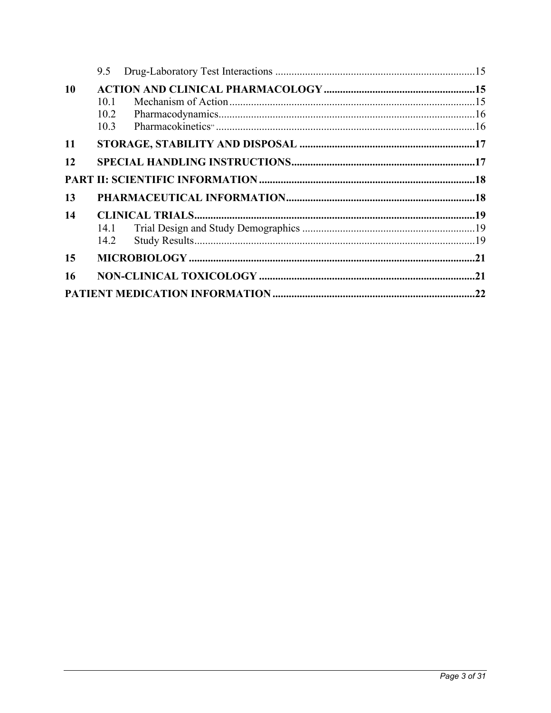|           | 9.5                  |  |
|-----------|----------------------|--|
| 10        | 10.1<br>10.2<br>10.3 |  |
| <b>11</b> |                      |  |
| 12        |                      |  |
|           |                      |  |
| 13        |                      |  |
| 14        | 14.1<br>14.2         |  |
| 15        |                      |  |
| 16        |                      |  |
|           |                      |  |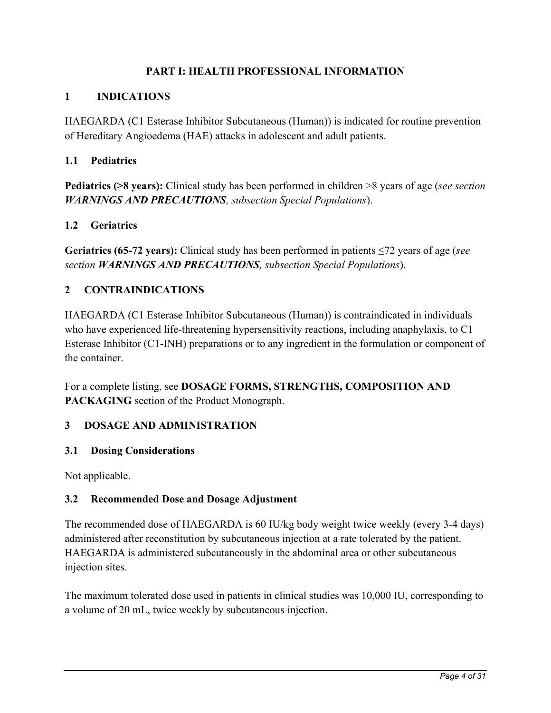# **PART I: HEALTH PROFESSIONAL INFORMATION**

# <span id="page-3-1"></span><span id="page-3-0"></span>**1 INDICATIONS**

HAEGARDA (C1 Esterase Inhibitor Subcutaneous (Human)) is indicated for routine prevention of Hereditary Angioedema (HAE) attacks in adolescent and adult patients.

### <span id="page-3-2"></span>**1.1 Pediatrics**

**Pediatrics (>8 years):** Clinical study has been performed in children >8 years of age (*see section [WARNINGS AND PRECAUTIONS](#page-11-0), subsection Special Populations*).

### <span id="page-3-3"></span>**1.2 Geriatrics**

**Geriatrics (65-72 years):** Clinical study has been performed in patients ≤72 years of age (*see section [WARNINGS AND PRECAUTIONS](#page-11-0), subsection Special Populations*).

### <span id="page-3-4"></span>**2 CONTRAINDICATIONS**

HAEGARDA (C1 Esterase Inhibitor Subcutaneous (Human)) is contraindicated in individuals who have experienced life-threatening hypersensitivity reactions, including anaphylaxis, to C1 Esterase Inhibitor (C1-INH) preparations or to any ingredient in the formulation or component of the container.

For a complete listing, see **[DOSAGE FORMS, STRENGTHS, COMPOSITION AND](#page-8-2)  [PACKAGING](#page-8-2)** section of the Product Monograph.

### <span id="page-3-5"></span>**3 DOSAGE AND ADMINISTRATION**

### <span id="page-3-6"></span>**3.1 Dosing Considerations**

<span id="page-3-7"></span>Not applicable.

### **3.2 Recommended Dose and Dosage Adjustment**

The recommended dose of HAEGARDA is 60 IU/kg body weight twice weekly (every 3-4 days) administered after reconstitution by subcutaneous injection at a rate tolerated by the patient. HAEGARDA is administered subcutaneously in the abdominal area or other subcutaneous injection sites.

The maximum tolerated dose used in patients in clinical studies was 10,000 IU, corresponding to a volume of 20 mL, twice weekly by subcutaneous injection.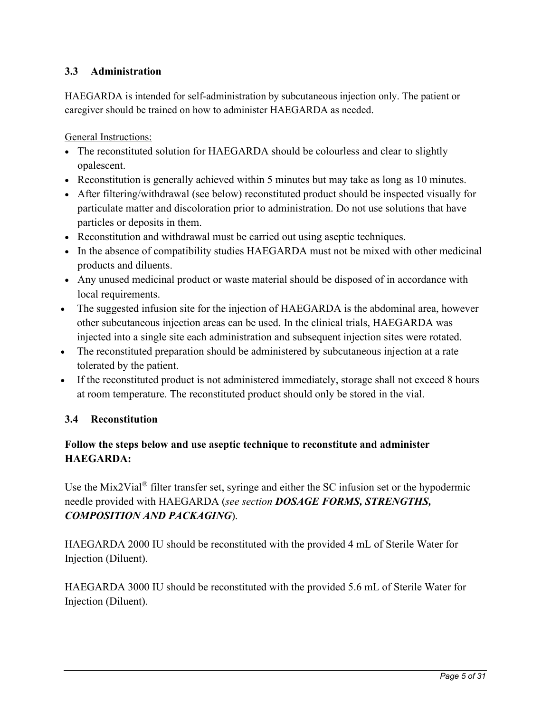# <span id="page-4-0"></span>**3.3 Administration**

HAEGARDA is intended for self-administration by subcutaneous injection only. The patient or caregiver should be trained on how to administer HAEGARDA as needed.

General Instructions:

- The reconstituted solution for HAEGARDA should be colourless and clear to slightly opalescent.
- Reconstitution is generally achieved within 5 minutes but may take as long as 10 minutes.
- After filtering/withdrawal (see below) reconstituted product should be inspected visually for particulate matter and discoloration prior to administration. Do not use solutions that have particles or deposits in them.
- Reconstitution and withdrawal must be carried out using aseptic techniques.
- In the absence of compatibility studies HAEGARDA must not be mixed with other medicinal products and diluents.
- Any unused medicinal product or waste material should be disposed of in accordance with local requirements.
- The suggested infusion site for the injection of HAEGARDA is the abdominal area, however other subcutaneous injection areas can be used. In the clinical trials, HAEGARDA was injected into a single site each administration and subsequent injection sites were rotated.
- The reconstituted preparation should be administered by subcutaneous injection at a rate tolerated by the patient.
- If the reconstituted product is not administered immediately, storage shall not exceed 8 hours at room temperature. The reconstituted product should only be stored in the vial.

### <span id="page-4-1"></span>**3.4 Reconstitution**

# **Follow the steps below and use aseptic technique to reconstitute and administer HAEGARDA:**

Use the Mix2Vial® filter transfer set, syringe and either the SC infusion set or the hypodermic needle provided with HAEGARDA (*see section [DOSAGE FORMS, STRENGTHS,](#page-8-2)  [COMPOSITION AND PACKAGING](#page-8-2)*).

HAEGARDA 2000 IU should be reconstituted with the provided 4 mL of Sterile Water for Injection (Diluent).

HAEGARDA 3000 IU should be reconstituted with the provided 5.6 mL of Sterile Water for Injection (Diluent).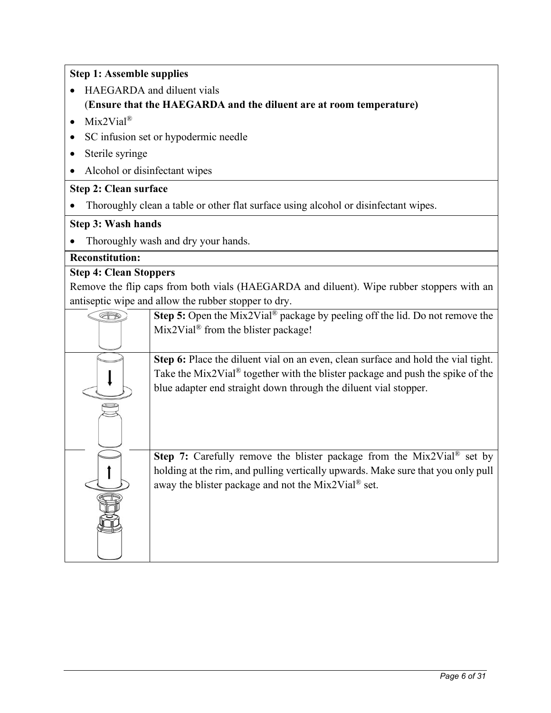| <b>Step 1: Assemble supplies</b> |                                                                                                                                                                     |  |  |
|----------------------------------|---------------------------------------------------------------------------------------------------------------------------------------------------------------------|--|--|
|                                  | HAEGARDA and diluent vials<br>(Ensure that the HAEGARDA and the diluent are at room temperature)                                                                    |  |  |
| $Mix2Vial^®$                     |                                                                                                                                                                     |  |  |
|                                  | SC infusion set or hypodermic needle                                                                                                                                |  |  |
|                                  |                                                                                                                                                                     |  |  |
| Sterile syringe                  |                                                                                                                                                                     |  |  |
| Alcohol or disinfectant wipes    |                                                                                                                                                                     |  |  |
| <b>Step 2: Clean surface</b>     |                                                                                                                                                                     |  |  |
|                                  | Thoroughly clean a table or other flat surface using alcohol or disinfectant wipes.                                                                                 |  |  |
| <b>Step 3: Wash hands</b>        |                                                                                                                                                                     |  |  |
|                                  | Thoroughly wash and dry your hands.                                                                                                                                 |  |  |
| <b>Reconstitution:</b>           |                                                                                                                                                                     |  |  |
| <b>Step 4: Clean Stoppers</b>    |                                                                                                                                                                     |  |  |
|                                  | Remove the flip caps from both vials (HAEGARDA and diluent). Wipe rubber stoppers with an                                                                           |  |  |
|                                  | antiseptic wipe and allow the rubber stopper to dry.                                                                                                                |  |  |
| E                                | Step 5: Open the Mix2Vial <sup>®</sup> package by peeling off the lid. Do not remove the                                                                            |  |  |
|                                  | $Mix2Vial®$ from the blister package!                                                                                                                               |  |  |
|                                  |                                                                                                                                                                     |  |  |
|                                  | Step 6: Place the diluent vial on an even, clean surface and hold the vial tight.<br>Take the Mix2Vial® together with the blister package and push the spike of the |  |  |
|                                  | blue adapter end straight down through the diluent vial stopper.                                                                                                    |  |  |
|                                  |                                                                                                                                                                     |  |  |
|                                  |                                                                                                                                                                     |  |  |
|                                  |                                                                                                                                                                     |  |  |
|                                  |                                                                                                                                                                     |  |  |
|                                  | Step 7: Carefully remove the blister package from the Mix2Vial® set by                                                                                              |  |  |
|                                  | holding at the rim, and pulling vertically upwards. Make sure that you only pull                                                                                    |  |  |
|                                  | away the blister package and not the Mix2Vial® set.                                                                                                                 |  |  |
|                                  |                                                                                                                                                                     |  |  |
|                                  |                                                                                                                                                                     |  |  |
|                                  |                                                                                                                                                                     |  |  |
|                                  |                                                                                                                                                                     |  |  |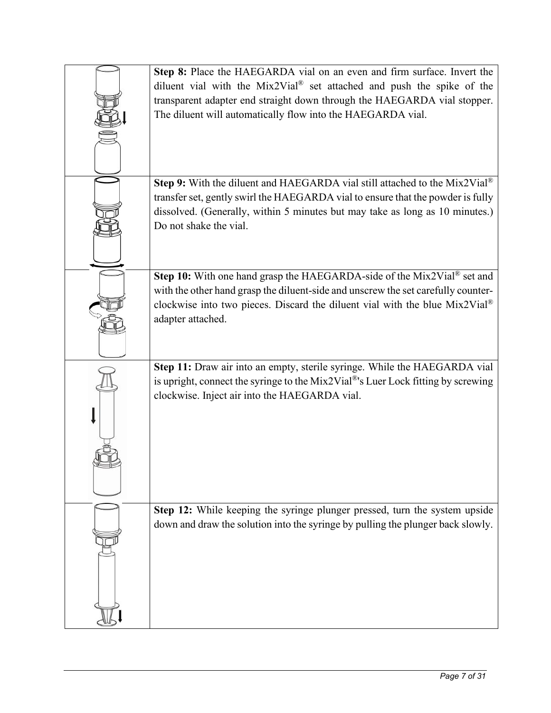| <b>Step 8:</b> Place the HAEGARDA vial on an even and firm surface. Invert the         |
|----------------------------------------------------------------------------------------|
| diluent vial with the Mix2Vial <sup>®</sup> set attached and push the spike of the     |
| transparent adapter end straight down through the HAEGARDA vial stopper.               |
| The diluent will automatically flow into the HAEGARDA vial.                            |
|                                                                                        |
|                                                                                        |
|                                                                                        |
|                                                                                        |
| Step 9: With the diluent and HAEGARDA vial still attached to the Mix2Vial®             |
| transfer set, gently swirl the HAEGARDA vial to ensure that the powder is fully        |
| dissolved. (Generally, within 5 minutes but may take as long as 10 minutes.)           |
| Do not shake the vial.                                                                 |
|                                                                                        |
|                                                                                        |
|                                                                                        |
| Step 10: With one hand grasp the HAEGARDA-side of the Mix2Vial® set and                |
| with the other hand grasp the diluent-side and unscrew the set carefully counter-      |
| clockwise into two pieces. Discard the diluent vial with the blue $Mix2ViaI^{\otimes}$ |
| adapter attached.                                                                      |
|                                                                                        |
|                                                                                        |
| Step 11: Draw air into an empty, sterile syringe. While the HAEGARDA vial              |
| is upright, connect the syringe to the Mix2Vial®'s Luer Lock fitting by screwing       |
| clockwise. Inject air into the HAEGARDA vial.                                          |
|                                                                                        |
|                                                                                        |
|                                                                                        |
|                                                                                        |
|                                                                                        |
|                                                                                        |
|                                                                                        |
| Step 12: While keeping the syringe plunger pressed, turn the system upside             |
| down and draw the solution into the syringe by pulling the plunger back slowly.        |
|                                                                                        |
|                                                                                        |
|                                                                                        |
|                                                                                        |
|                                                                                        |
|                                                                                        |
|                                                                                        |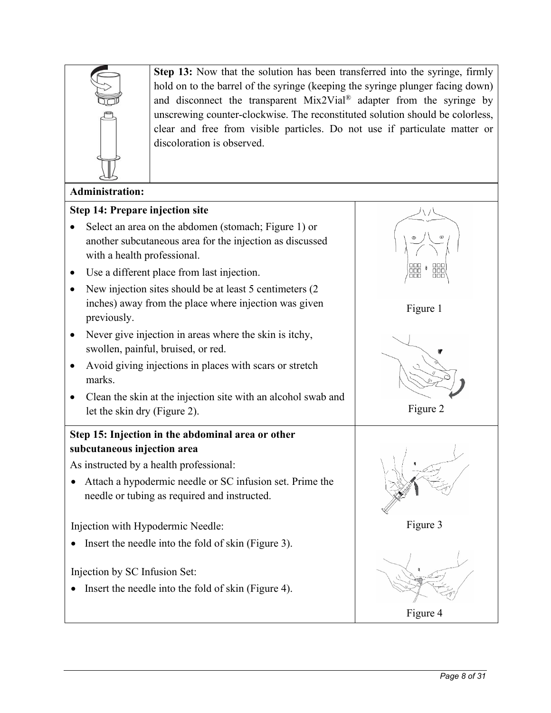

**Step 13:** Now that the solution has been transferred into the syringe, firmly hold on to the barrel of the syringe (keeping the syringe plunger facing down) and disconnect the transparent  $Mix2Vial^{\circledR}$  adapter from the syringe by unscrewing counter-clockwise. The reconstituted solution should be colorless, clear and free from visible particles. Do not use if particulate matter or discoloration is observed.

### **Administration:**

#### **Step 14: Prepare injection site**

- Select an area on the abdomen (stomach; Figure 1) or another subcutaneous area for the injection as discussed with a health professional.
- Use a different place from last injection.
- New injection sites should be at least 5 centimeters (2) inches) away from the place where injection was given previously.
- Never give injection in areas where the skin is itchy, swollen, painful, bruised, or red.
- Avoid giving injections in places with scars or stretch marks.
- Clean the skin at the injection site with an alcohol swab and let the skin dry (Figure 2).

# **Step 15: Injection in the abdominal area or other subcutaneous injection area**

As instructed by a health professional:

• Attach a hypodermic needle or SC infusion set. Prime the needle or tubing as required and instructed.

Injection with Hypodermic Needle:

• Insert the needle into the fold of skin (Figure 3).

Injection by SC Infusion Set:

• Insert the needle into the fold of skin (Figure 4).



Figure 1

Figure 2

Figure 3

Figure 4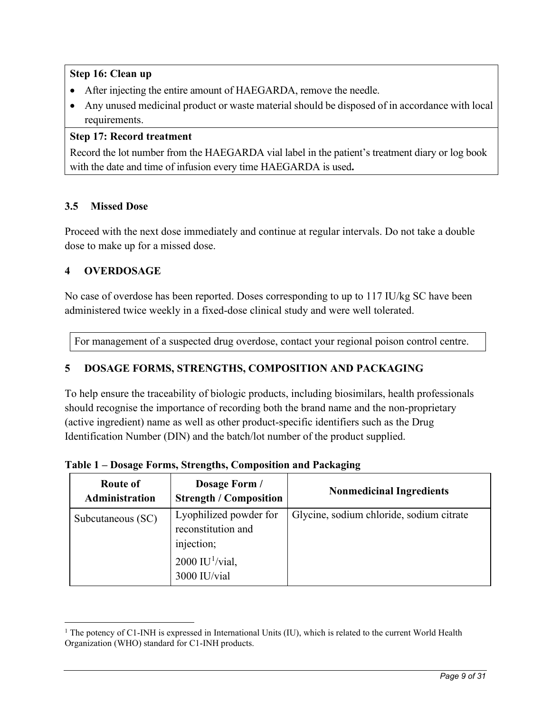# **Step 16: Clean up**

- After injecting the entire amount of HAEGARDA, remove the needle.
- Any unused medicinal product or waste material should be disposed of in accordance with local requirements.

# **Step 17: Record treatment**

Record the lot number from the HAEGARDA vial label in the patient's treatment diary or log book with the date and time of infusion every time HAEGARDA is used**.**

# <span id="page-8-0"></span>**3.5 Missed Dose**

Proceed with the next dose immediately and continue at regular intervals. Do not take a double dose to make up for a missed dose.

# <span id="page-8-1"></span>**4 OVERDOSAGE**

No case of overdose has been reported. Doses corresponding to up to 117 IU/kg SC have been administered twice weekly in a fixed-dose clinical study and were well tolerated.

For management of a suspected drug overdose, contact your regional poison control centre.

# <span id="page-8-2"></span>**5 DOSAGE FORMS, STRENGTHS, COMPOSITION AND PACKAGING**

To help ensure the traceability of biologic products, including biosimilars, health professionals should recognise the importance of recording both the brand name and the non-proprietary (active ingredient) name as well as other product-specific identifiers such as the Drug Identification Number (DIN) and the batch/lot number of the product supplied.

| Route of<br>Administration | Dosage Form /<br><b>Strength / Composition</b>                                                              | <b>Nonmedicinal Ingredients</b>          |
|----------------------------|-------------------------------------------------------------------------------------------------------------|------------------------------------------|
| Subcutaneous (SC)          | Lyophilized powder for<br>reconstitution and<br>injection;<br>$2000$ IU <sup>1</sup> /vial,<br>3000 IU/vial | Glycine, sodium chloride, sodium citrate |

**Table 1 – Dosage Forms, Strengths, Composition and Packaging**

<span id="page-8-3"></span><sup>&</sup>lt;sup>1</sup> The potency of C1-INH is expressed in International Units (IU), which is related to the current World Health Organization (WHO) standard for C1-INH products.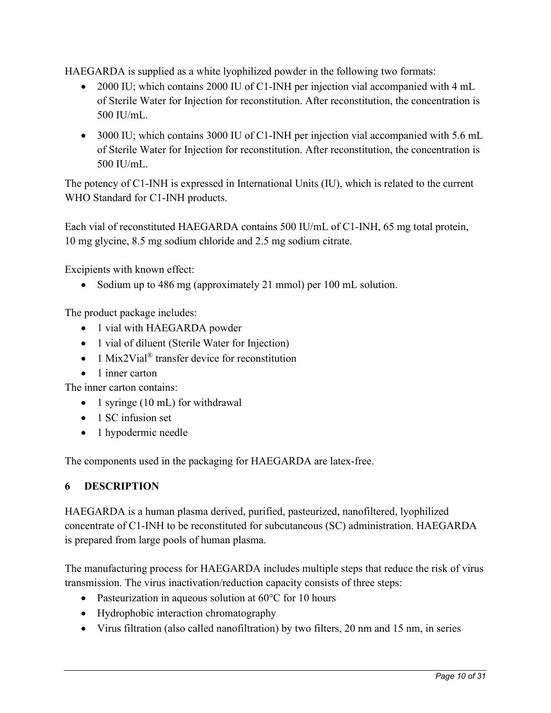HAEGARDA is supplied as a white lyophilized powder in the following two formats:

- 2000 IU; which contains 2000 IU of C1-INH per injection vial accompanied with 4 mL of Sterile Water for Injection for reconstitution. After reconstitution, the concentration is 500 IU/mL.
- 3000 IU; which contains 3000 IU of C1-INH per injection vial accompanied with 5.6 mL of Sterile Water for Injection for reconstitution. After reconstitution, the concentration is 500 IU/mL.

The potency of C1-INH is expressed in International Units (IU), which is related to the current WHO Standard for C1-INH products.

Each vial of reconstituted HAEGARDA contains 500 IU/mL of C1-INH, 65 mg total protein, 10 mg glycine, 8.5 mg sodium chloride and 2.5 mg sodium citrate.

Excipients with known effect:

• Sodium up to 486 mg (approximately 21 mmol) per 100 mL solution.

The product package includes:

- 1 vial with HAEGARDA powder
- 1 vial of diluent (Sterile Water for Injection)
- 1 Mix2Vial<sup>®</sup> transfer device for reconstitution
- 1 inner carton

The inner carton contains:

- 1 syringe (10 mL) for withdrawal
- 1 SC infusion set
- 1 hypodermic needle

The components used in the packaging for HAEGARDA are latex-free.

### <span id="page-9-0"></span>**6 DESCRIPTION**

HAEGARDA is a human plasma derived, purified, pasteurized, nanofiltered, lyophilized concentrate of C1-INH to be reconstituted for subcutaneous (SC) administration. HAEGARDA is prepared from large pools of human plasma.

The manufacturing process for HAEGARDA includes multiple steps that reduce the risk of virus transmission. The virus inactivation/reduction capacity consists of three steps:

- Pasteurization in aqueous solution at 60°C for 10 hours
- Hydrophobic interaction chromatography
- Virus filtration (also called nanofiltration) by two filters, 20 nm and 15 nm, in series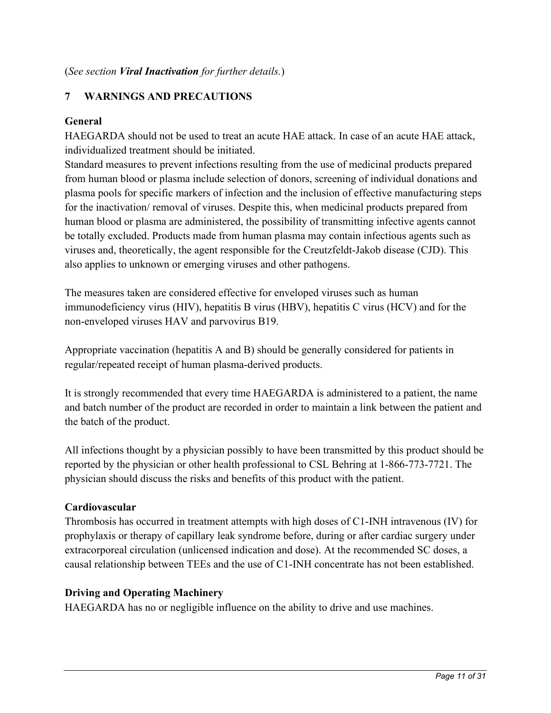# <span id="page-10-0"></span>**7 WARNINGS AND PRECAUTIONS**

#### **General**

HAEGARDA should not be used to treat an acute HAE attack. In case of an acute HAE attack, individualized treatment should be initiated.

Standard measures to prevent infections resulting from the use of medicinal products prepared from human blood or plasma include selection of donors, screening of individual donations and plasma pools for specific markers of infection and the inclusion of effective manufacturing steps for the inactivation/ removal of viruses. Despite this, when medicinal products prepared from human blood or plasma are administered, the possibility of transmitting infective agents cannot be totally excluded. Products made from human plasma may contain infectious agents such as viruses and, theoretically, the agent responsible for the Creutzfeldt-Jakob disease (CJD). This also applies to unknown or emerging viruses and other pathogens.

The measures taken are considered effective for enveloped viruses such as human immunodeficiency virus (HIV), hepatitis B virus (HBV), hepatitis C virus (HCV) and for the non-enveloped viruses HAV and parvovirus B19.

Appropriate vaccination (hepatitis A and B) should be generally considered for patients in regular/repeated receipt of human plasma-derived products.

It is strongly recommended that every time HAEGARDA is administered to a patient, the name and batch number of the product are recorded in order to maintain a link between the patient and the batch of the product.

All infections thought by a physician possibly to have been transmitted by this product should be reported by the physician or other health professional to CSL Behring at 1-866-773-7721. The physician should discuss the risks and benefits of this product with the patient.

### **Cardiovascular**

Thrombosis has occurred in treatment attempts with high doses of C1-INH intravenous (IV) for prophylaxis or therapy of capillary leak syndrome before, during or after cardiac surgery under extracorporeal circulation (unlicensed indication and dose). At the recommended SC doses, a causal relationship between TEEs and the use of C1-INH concentrate has not been established.

#### **Driving and Operating Machinery**

HAEGARDA has no or negligible influence on the ability to drive and use machines.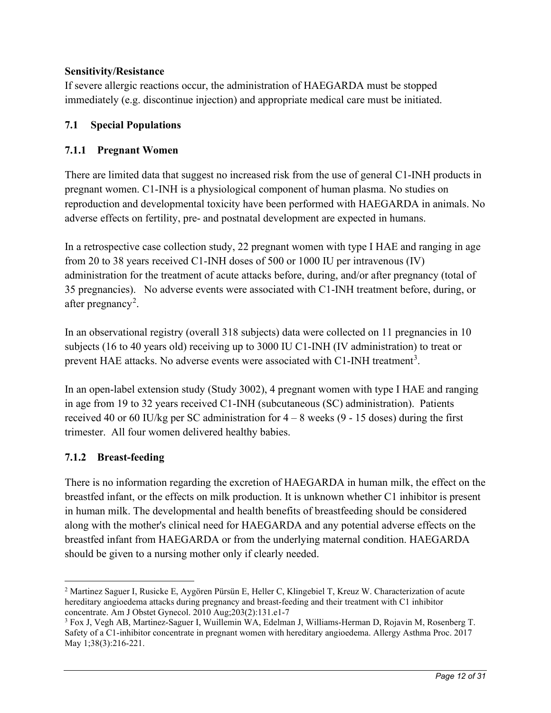# **Sensitivity/Resistance**

If severe allergic reactions occur, the administration of HAEGARDA must be stopped immediately (e.g. discontinue injection) and appropriate medical care must be initiated.

# <span id="page-11-0"></span>**7.1 Special Populations**

# <span id="page-11-1"></span>**7.1.1 Pregnant Women**

There are limited data that suggest no increased risk from the use of general C1-INH products in pregnant women. C1-INH is a physiological component of human plasma. No studies on reproduction and developmental toxicity have been performed with HAEGARDA in animals. No adverse effects on fertility, pre- and postnatal development are expected in humans.

In a retrospective case collection study, 22 pregnant women with type I HAE and ranging in age from 20 to 38 years received C1-INH doses of 500 or 1000 IU per intravenous (IV) administration for the treatment of acute attacks before, during, and/or after pregnancy (total of 35 pregnancies). No adverse events were associated with C1-INH treatment before, during, or after pregnancy<sup>[2](#page-11-3)</sup>.

<span id="page-11-5"></span>In an observational registry (overall 318 subjects) data were collected on 11 pregnancies in 10 subjects (16 to 40 years old) receiving up to 3000 IU C1-INH (IV administration) to treat or prevent HAE attacks. No adverse events were associated with C1-INH treatment<sup>[3](#page-11-4)</sup>.

In an open-label extension study (Study 3002), 4 pregnant women with type I HAE and ranging in age from 19 to 32 years received C1-INH (subcutaneous (SC) administration). Patients received 40 or 60 IU/kg per SC administration for  $4 - 8$  weeks  $(9 - 15$  doses) during the first trimester. All four women delivered healthy babies.

# <span id="page-11-2"></span>**7.1.2 Breast-feeding**

There is no information regarding the excretion of HAEGARDA in human milk, the effect on the breastfed infant, or the effects on milk production. It is unknown whether C1 inhibitor is present in human milk. The developmental and health benefits of breastfeeding should be considered along with the mother's clinical need for HAEGARDA and any potential adverse effects on the breastfed infant from HAEGARDA or from the underlying maternal condition. HAEGARDA should be given to a nursing mother only if clearly needed.

<span id="page-11-3"></span><sup>2</sup> Martinez Saguer I, Rusicke E, Aygören Pürsün E, Heller C, Klingebiel T, Kreuz W. Characterization of acute hereditary angioedema attacks during pregnancy and breast-feeding and their treatment with C1 inhibitor concentrate. Am J Obstet Gynecol. 2010 Aug;203(2):131.e1-7

<span id="page-11-4"></span><sup>3</sup> Fox J, Vegh AB, Martinez-Saguer I, Wuillemin WA, Edelman J, Williams-Herman D, Rojavin M, Rosenberg T. Safety of a C1-inhibitor concentrate in pregnant women with hereditary angioedema. Allergy Asthma Proc. 2017 May 1;38(3):216-221.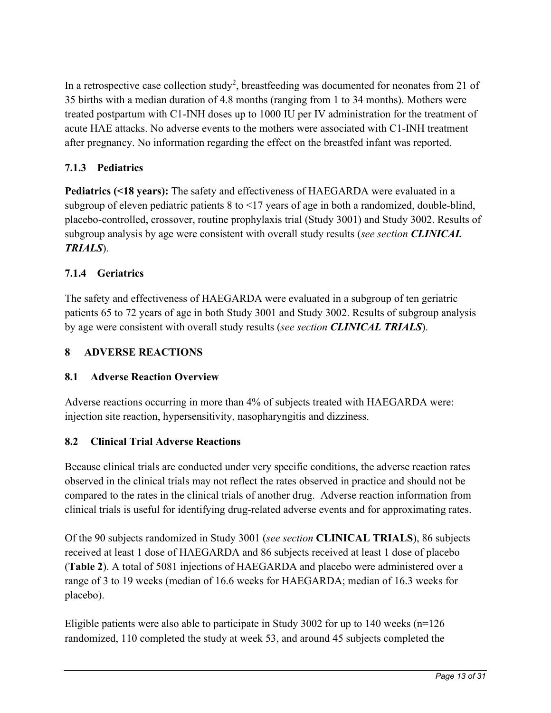In a retrospective case collection study<sup>2</sup>, breastfeeding was documented for neonates from 21 of 35 births with a median duration of 4.8 months (ranging from 1 to 34 months). Mothers were treated postpartum with C1-INH doses up to 1000 IU per IV administration for the treatment of acute HAE attacks. No adverse events to the mothers were associated with C1-INH treatment after pregnancy. No information regarding the effect on the breastfed infant was reported.

# <span id="page-12-0"></span>**7.1.3 Pediatrics**

**Pediatrics (<18 years):** The safety and effectiveness of HAEGARDA were evaluated in a subgroup of eleven pediatric patients 8 to <17 years of age in both a randomized, double-blind, placebo-controlled, crossover, routine prophylaxis trial (Study 3001) and Study 3002. Results of subgroup analysis by age were consistent with overall study results (*see section [CLINICAL](#page-18-0)  [TRIALS](#page-18-0)*).

# <span id="page-12-1"></span>**7.1.4 Geriatrics**

The safety and effectiveness of HAEGARDA were evaluated in a subgroup of ten geriatric patients 65 to 72 years of age in both Study 3001 and Study 3002. Results of subgroup analysis by age were consistent with overall study results (*see section [CLINICAL TRIALS](#page-18-0)*).

# <span id="page-12-2"></span>**8 ADVERSE REACTIONS**

# <span id="page-12-3"></span>**8.1 Adverse Reaction Overview**

Adverse reactions occurring in more than 4% of subjects treated with HAEGARDA were: injection site reaction, hypersensitivity, nasopharyngitis and dizziness.

# <span id="page-12-4"></span>**8.2 Clinical Trial Adverse Reactions**

Because clinical trials are conducted under very specific conditions, the adverse reaction rates observed in the clinical trials may not reflect the rates observed in practice and should not be compared to the rates in the clinical trials of another drug. Adverse reaction information from clinical trials is useful for identifying drug-related adverse events and for approximating rates.

Of the 90 subjects randomized in Study 3001 (*see section* **[CLINICAL TRIALS](#page-18-0)**), 86 subjects received at least 1 dose of HAEGARDA and 86 subjects received at least 1 dose of placebo (**[Table 2](#page-13-2)**). A total of 5081 injections of HAEGARDA and placebo were administered over a range of 3 to 19 weeks (median of 16.6 weeks for HAEGARDA; median of 16.3 weeks for placebo).

Eligible patients were also able to participate in Study 3002 for up to 140 weeks ( $n=126$ ) randomized, 110 completed the study at week 53, and around 45 subjects completed the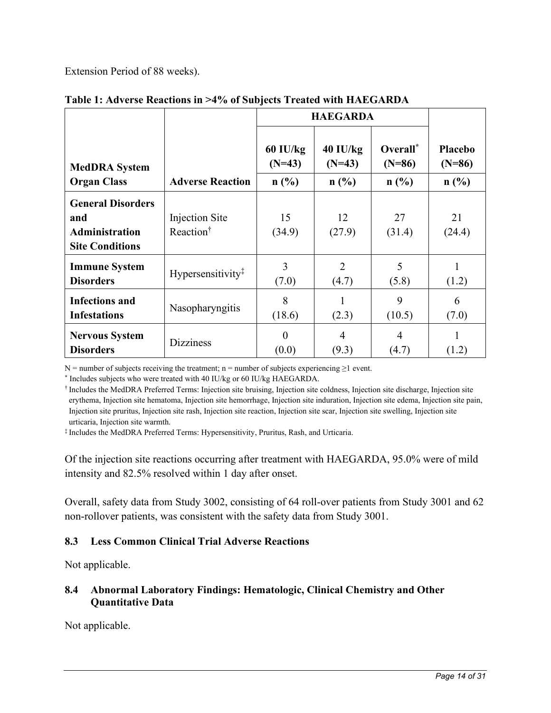Extension Period of 88 weeks).

|                                                                                    |                                         | <b>HAEGARDA</b>      |                         |                      |                            |
|------------------------------------------------------------------------------------|-----------------------------------------|----------------------|-------------------------|----------------------|----------------------------|
| <b>MedDRA</b> System                                                               |                                         | 60 IU/kg<br>$(N=43)$ | $40$ IU/kg<br>$(N=43)$  | Overall*<br>$(N=86)$ | <b>Placebo</b><br>$(N=86)$ |
| <b>Organ Class</b>                                                                 | <b>Adverse Reaction</b>                 | $n$ (%)              | $n$ (%)                 | n(%)                 | $n$ (%)                    |
| <b>General Disorders</b><br>and<br><b>Administration</b><br><b>Site Conditions</b> | Injection Site<br>Reaction <sup>†</sup> | 15<br>(34.9)         | 12<br>(27.9)            | 27<br>(31.4)         | 21<br>(24.4)               |
| <b>Immune System</b><br><b>Disorders</b>                                           | Hypersensitivity <sup>‡</sup>           | 3<br>(7.0)           | $\overline{2}$<br>(4.7) | 5<br>(5.8)           | (1.2)                      |
| <b>Infections and</b><br><b>Infestations</b>                                       | Nasopharyngitis                         | 8<br>(18.6)          | (2.3)                   | 9<br>(10.5)          | 6<br>(7.0)                 |
| <b>Nervous System</b><br><b>Disorders</b>                                          | <b>Dizziness</b>                        | $\Omega$<br>(0.0)    | $\overline{4}$<br>(9.3) | 4<br>(4.7)           | (1.2)                      |

<span id="page-13-2"></span>**Table 1: Adverse Reactions in >4% of Subjects Treated with HAEGARDA**

N = number of subjects receiving the treatment; n = number of subjects experiencing  $\geq 1$  event.

\* Includes subjects who were treated with 40 IU/kg or 60 IU/kg HAEGARDA.

† Includes the MedDRA Preferred Terms: Injection site bruising, Injection site coldness, Injection site discharge, Injection site erythema, Injection site hematoma, Injection site hemorrhage, Injection site induration, Injection site edema, Injection site pain, Injection site pruritus, Injection site rash, Injection site reaction, Injection site scar, Injection site swelling, Injection site urticaria, Injection site warmth.

‡ Includes the MedDRA Preferred Terms: Hypersensitivity, Pruritus, Rash, and Urticaria.

Of the injection site reactions occurring after treatment with HAEGARDA, 95.0% were of mild intensity and 82.5% resolved within 1 day after onset.

Overall, safety data from Study 3002, consisting of 64 roll-over patients from Study 3001 and 62 non-rollover patients, was consistent with the safety data from Study 3001.

# <span id="page-13-0"></span>**8.3 Less Common Clinical Trial Adverse Reactions**

Not applicable.

# <span id="page-13-1"></span>**8.4 Abnormal Laboratory Findings: Hematologic, Clinical Chemistry and Other Quantitative Data**

Not applicable.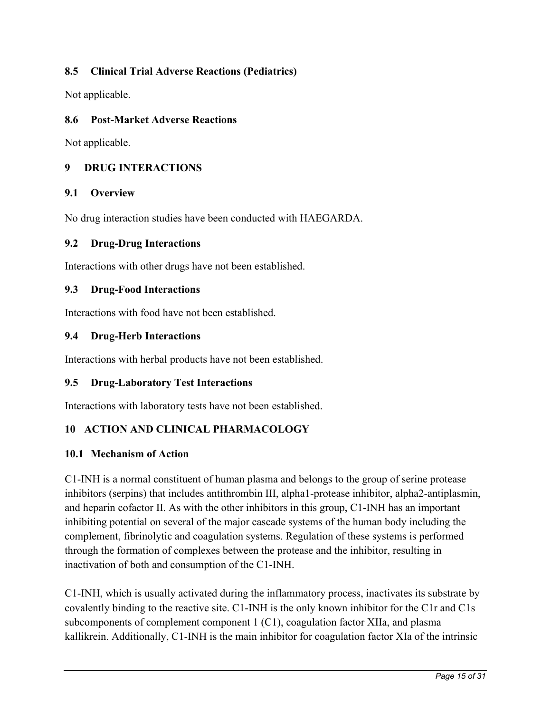# <span id="page-14-0"></span>**8.5 Clinical Trial Adverse Reactions (Pediatrics)**

Not applicable.

### <span id="page-14-1"></span>**8.6 Post-Market Adverse Reactions**

Not applicable.

# <span id="page-14-2"></span>**9 DRUG INTERACTIONS**

#### <span id="page-14-3"></span>**9.1 Overview**

No drug interaction studies have been conducted with HAEGARDA.

#### <span id="page-14-4"></span>**9.2 Drug-Drug Interactions**

<span id="page-14-5"></span>Interactions with other drugs have not been established.

#### **9.3 Drug-Food Interactions**

<span id="page-14-6"></span>Interactions with food have not been established.

#### **9.4 Drug-Herb Interactions**

Interactions with herbal products have not been established.

### <span id="page-14-7"></span>**9.5 Drug-Laboratory Test Interactions**

<span id="page-14-8"></span>Interactions with laboratory tests have not been established.

### **10 ACTION AND CLINICAL PHARMACOLOGY**

### <span id="page-14-9"></span>**10.1 Mechanism of Action**

C1-INH is a normal constituent of human plasma and belongs to the group of serine protease inhibitors (serpins) that includes antithrombin III, alpha1-protease inhibitor, alpha2-antiplasmin, and heparin cofactor II. As with the other inhibitors in this group, C1-INH has an important inhibiting potential on several of the major cascade systems of the human body including the complement, fibrinolytic and coagulation systems. Regulation of these systems is performed through the formation of complexes between the protease and the inhibitor, resulting in inactivation of both and consumption of the C1-INH.

C1-INH, which is usually activated during the inflammatory process, inactivates its substrate by covalently binding to the reactive site. C1-INH is the only known inhibitor for the C1r and C1s subcomponents of complement component 1 (C1), coagulation factor XIIa, and plasma kallikrein. Additionally, C1-INH is the main inhibitor for coagulation factor XIa of the intrinsic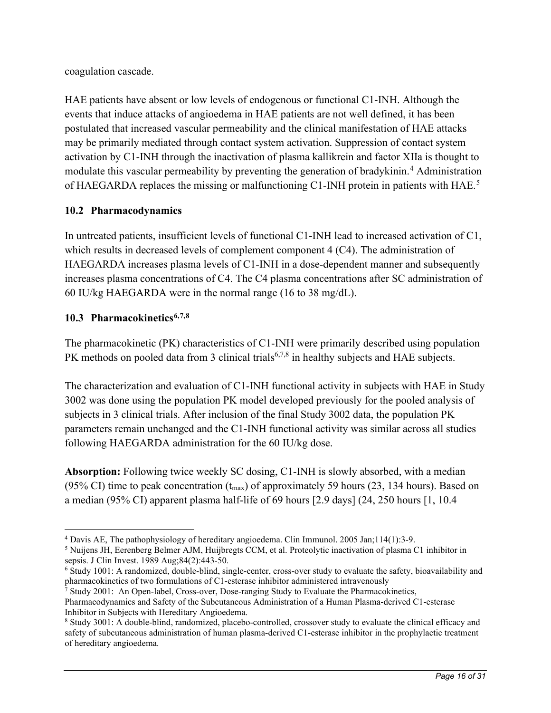coagulation cascade.

HAE patients have absent or low levels of endogenous or functional C1-INH. Although the events that induce attacks of angioedema in HAE patients are not well defined, it has been postulated that increased vascular permeability and the clinical manifestation of HAE attacks may be primarily mediated through contact system activation. Suppression of contact system activation by C1-INH through the inactivation of plasma kallikrein and factor XIIa is thought to modulate this vascular permeability by preventing the generation of bradykinin.<sup>[4](#page-15-5)</sup> Administration of HAEGARDA replaces the missing or malfunctioning C1-INH protein in patients with HAE.<sup>[5](#page-15-6)</sup>

# <span id="page-15-0"></span>**10.2 Pharmacodynamics**

In untreated patients, insufficient levels of functional C1-INH lead to increased activation of C1, which results in decreased levels of complement component 4 (C4). The administration of HAEGARDA increases plasma levels of C1-INH in a dose-dependent manner and subsequently increases plasma concentrations of C4. The C4 plasma concentrations after SC administration of 60 IU/kg HAEGARDA were in the normal range (16 to 38 mg/dL).

# <span id="page-15-4"></span><span id="page-15-3"></span><span id="page-15-2"></span><span id="page-15-1"></span>**10.3 Pharmacokinetics[6](#page-15-7),[7,](#page-15-8)[8](#page-15-9)**

The pharmacokinetic (PK) characteristics of C1-INH were primarily described using population PK methods on pooled data from 3 clinical trials<sup>[6,](#page-15-2)[7,](#page-15-3)[8](#page-15-4)</sup> in healthy subjects and HAE subjects.

The characterization and evaluation of C1-INH functional activity in subjects with HAE in Study 3002 was done using the population PK model developed previously for the pooled analysis of subjects in 3 clinical trials. After inclusion of the final Study 3002 data, the population PK parameters remain unchanged and the C1-INH functional activity was similar across all studies following HAEGARDA administration for the 60 IU/kg dose.

**Absorption:** Following twice weekly SC dosing, C1-INH is slowly absorbed, with a median (95% CI) time to peak concentration ( $t_{\text{max}}$ ) of approximately 59 hours (23, 134 hours). Based on a median (95% CI) apparent plasma half-life of 69 hours [2.9 days] (24, 250 hours [1, 10.4

<span id="page-15-5"></span><sup>4</sup> Davis AE, The pathophysiology of hereditary angioedema. Clin Immunol. 2005 Jan;114(1):3-9.

<span id="page-15-6"></span><sup>5</sup> Nuijens JH, Eerenberg Belmer AJM, Huijbregts CCM, et al. Proteolytic inactivation of plasma C1 inhibitor in sepsis. J Clin Invest. 1989 Aug;84(2):443-50.

<span id="page-15-7"></span><sup>6</sup> Study 1001: A randomized, double-blind, single-center, cross-over study to evaluate the safety, bioavailability and pharmacokinetics of two formulations of C1-esterase inhibitor administered intravenously

<span id="page-15-8"></span><sup>&</sup>lt;sup>7</sup> Study 2001: An Open-label, Cross-over, Dose-ranging Study to Evaluate the Pharmacokinetics, Pharmacodynamics and Safety of the Subcutaneous Administration of a Human Plasma-derived C1-esterase Inhibitor in Subjects with Hereditary Angioedema.

<span id="page-15-9"></span><sup>8</sup> Study 3001: A double-blind, randomized, placebo-controlled, crossover study to evaluate the clinical efficacy and safety of subcutaneous administration of human plasma-derived C1-esterase inhibitor in the prophylactic treatment of hereditary angioedema.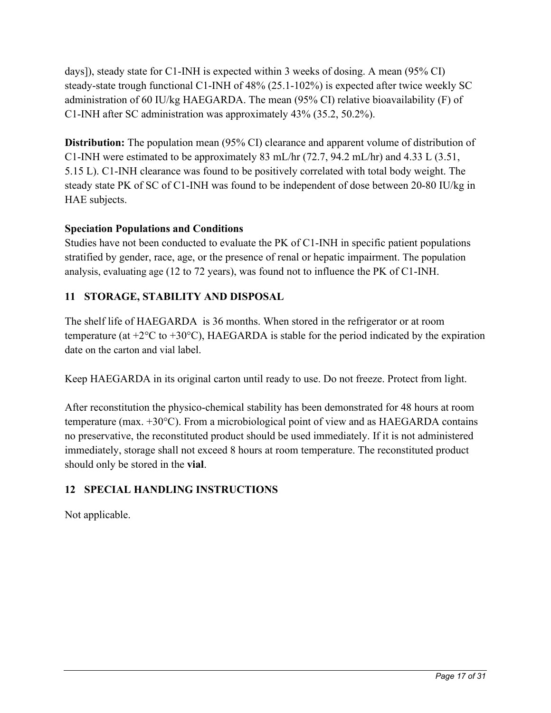days]), steady state for C1-INH is expected within 3 weeks of dosing. A mean (95% CI) steady-state trough functional C1-INH of 48% (25.1-102%) is expected after twice weekly SC administration of 60 IU/kg HAEGARDA. The mean (95% CI) relative bioavailability (F) of C1-INH after SC administration was approximately 43% (35.2, 50.2%).

**Distribution:** The population mean (95% CI) clearance and apparent volume of distribution of C1-INH were estimated to be approximately 83 mL/hr (72.7, 94.2 mL/hr) and 4.33 L (3.51, 5.15 L). C1-INH clearance was found to be positively correlated with total body weight. The steady state PK of SC of C1-INH was found to be independent of dose between 20-80 IU/kg in HAE subjects.

# **Speciation Populations and Conditions**

Studies have not been conducted to evaluate the PK of C1-INH in specific patient populations stratified by gender, race, age, or the presence of renal or hepatic impairment. The population analysis, evaluating age (12 to 72 years), was found not to influence the PK of C1-INH.

# <span id="page-16-0"></span>**11 STORAGE, STABILITY AND DISPOSAL**

The shelf life of HAEGARDA is 36 months. When stored in the refrigerator or at room temperature (at  $+2^{\circ}\text{C}$  to  $+30^{\circ}\text{C}$ ), HAEGARDA is stable for the period indicated by the expiration date on the carton and vial label.

Keep HAEGARDA in its original carton until ready to use. Do not freeze. Protect from light.

After reconstitution the physico-chemical stability has been demonstrated for 48 hours at room temperature (max. +30°C). From a microbiological point of view and as HAEGARDA contains no preservative, the reconstituted product should be used immediately. If it is not administered immediately, storage shall not exceed 8 hours at room temperature. The reconstituted product should only be stored in the **vial**.

# <span id="page-16-1"></span>**12 SPECIAL HANDLING INSTRUCTIONS**

Not applicable.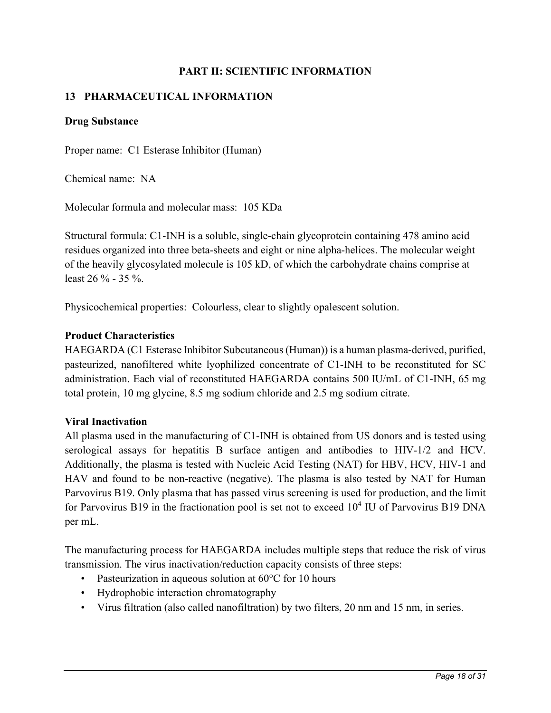# **PART II: SCIENTIFIC INFORMATION**

# <span id="page-17-1"></span><span id="page-17-0"></span>**13 PHARMACEUTICAL INFORMATION**

#### **Drug Substance**

Proper name: C1 Esterase Inhibitor (Human)

Chemical name: NA

Molecular formula and molecular mass: 105 KDa

Structural formula: C1-INH is a soluble, single-chain glycoprotein containing 478 amino acid residues organized into three beta-sheets and eight or nine alpha-helices. The molecular weight of the heavily glycosylated molecule is 105 kD, of which the carbohydrate chains comprise at least 26 % - 35 %.

Physicochemical properties: Colourless, clear to slightly opalescent solution.

#### **Product Characteristics**

HAEGARDA (C1 Esterase Inhibitor Subcutaneous (Human)) is a human plasma-derived, purified, pasteurized, nanofiltered white lyophilized concentrate of C1-INH to be reconstituted for SC administration. Each vial of reconstituted HAEGARDA contains 500 IU/mL of C1-INH, 65 mg total protein, 10 mg glycine, 8.5 mg sodium chloride and 2.5 mg sodium citrate.

### <span id="page-17-2"></span>**Viral Inactivation**

All plasma used in the manufacturing of C1-INH is obtained from US donors and is tested using serological assays for hepatitis B surface antigen and antibodies to HIV-1/2 and HCV. Additionally, the plasma is tested with Nucleic Acid Testing (NAT) for HBV, HCV, HIV-1 and HAV and found to be non-reactive (negative). The plasma is also tested by NAT for Human Parvovirus B19. Only plasma that has passed virus screening is used for production, and the limit for Parvovirus B19 in the fractionation pool is set not to exceed  $10^4$  IU of Parvovirus B19 DNA per mL.

The manufacturing process for HAEGARDA includes multiple steps that reduce the risk of virus transmission. The virus inactivation/reduction capacity consists of three steps:

- Pasteurization in aqueous solution at 60°C for 10 hours
- Hydrophobic interaction chromatography
- Virus filtration (also called nanofiltration) by two filters, 20 nm and 15 nm, in series.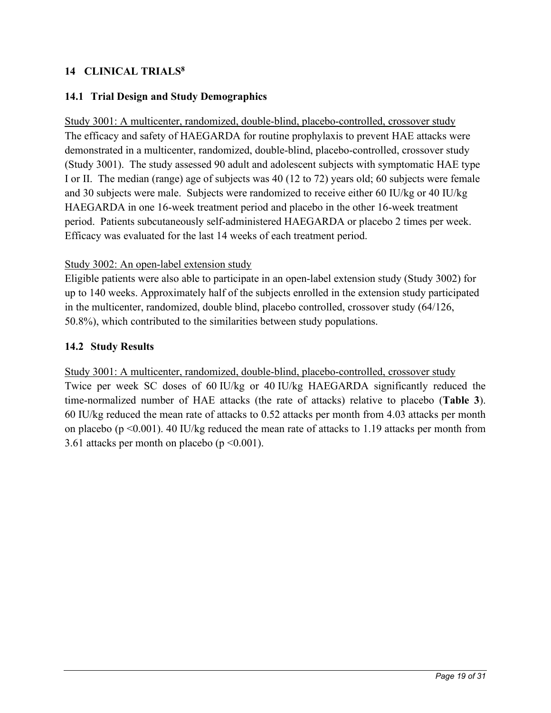# <span id="page-18-0"></span>**14 CLINICAL TRIAL[S8](#page-15-4)**

# <span id="page-18-1"></span>**14.1 Trial Design and Study Demographics**

Study 3001: A multicenter, randomized, double-blind, placebo-controlled, crossover study The efficacy and safety of HAEGARDA for routine prophylaxis to prevent HAE attacks were demonstrated in a multicenter, randomized, double-blind, placebo-controlled, crossover study (Study 3001). The study assessed 90 adult and adolescent subjects with symptomatic HAE type I or II. The median (range) age of subjects was 40 (12 to 72) years old; 60 subjects were female and 30 subjects were male. Subjects were randomized to receive either 60 IU/kg or 40 IU/kg HAEGARDA in one 16-week treatment period and placebo in the other 16-week treatment period. Patients subcutaneously self-administered HAEGARDA or placebo 2 times per week. Efficacy was evaluated for the last 14 weeks of each treatment period.

#### Study 3002: An open-label extension study

Eligible patients were also able to participate in an open-label extension study (Study 3002) for up to 140 weeks. Approximately half of the subjects enrolled in the extension study participated in the multicenter, randomized, double blind, placebo controlled, crossover study (64/126, 50.8%), which contributed to the similarities between study populations.

### <span id="page-18-2"></span>**14.2 Study Results**

Study 3001: A multicenter, randomized, double-blind, placebo-controlled, crossover study Twice per week SC doses of 60 IU/kg or 40 IU/kg HAEGARDA significantly reduced the time-normalized number of HAE attacks (the rate of attacks) relative to placebo (**[Table 3](#page-19-0)**). 60 IU/kg reduced the mean rate of attacks to 0.52 attacks per month from 4.03 attacks per month on placebo ( $p \le 0.001$ ). 40 IU/kg reduced the mean rate of attacks to 1.19 attacks per month from 3.61 attacks per month on placebo ( $p \le 0.001$ ).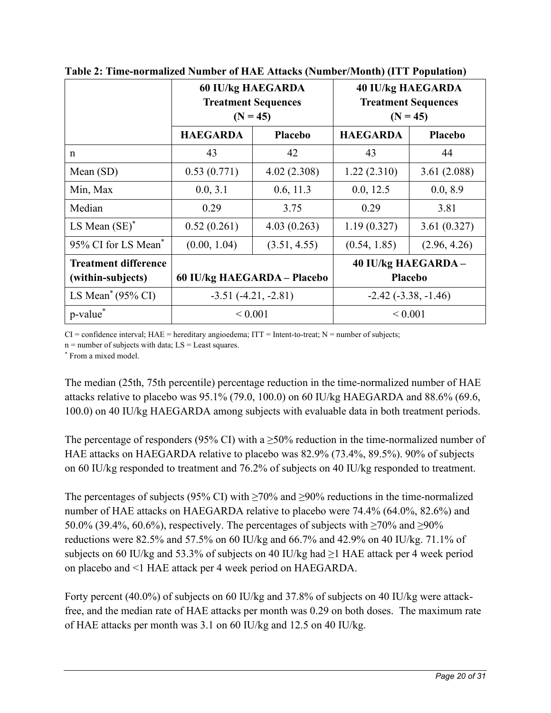|                                                  | <b>60 IU/kg HAEGARDA</b><br><b>Treatment Sequences</b><br>$(N = 45)$ |                | <b>40 IU/kg HAEGARDA</b><br><b>Treatment Sequences</b><br>$(N = 45)$ |                |
|--------------------------------------------------|----------------------------------------------------------------------|----------------|----------------------------------------------------------------------|----------------|
|                                                  | <b>HAEGARDA</b>                                                      | <b>Placebo</b> | <b>HAEGARDA</b>                                                      | <b>Placebo</b> |
| n                                                | 43                                                                   | 42             | 43                                                                   | 44             |
| Mean (SD)                                        | 0.53(0.771)                                                          | 4.02(2.308)    | 1.22(2.310)                                                          | 3.61(2.088)    |
| Min, Max                                         | 0.0, 3.1                                                             | 0.6, 11.3      | 0.0, 12.5                                                            | 0.0, 8.9       |
| Median                                           | 0.29                                                                 | 3.75           | 0.29                                                                 | 3.81           |
| LS Mean $(SE)^*$                                 | 0.52(0.261)                                                          | 4.03(0.263)    | 1.19(0.327)                                                          | 3.61(0.327)    |
| 95% CI for LS Mean*                              | (0.00, 1.04)                                                         | (3.51, 4.55)   | (0.54, 1.85)                                                         | (2.96, 4.26)   |
| <b>Treatment difference</b><br>(within-subjects) | 60 IU/kg HAEGARDA - Placebo                                          |                | 40 IU/kg HAEGARDA-<br>Placebo                                        |                |
| LS Mean <sup>*</sup> (95% CI)                    | $-3.51(-4.21, -2.81)$                                                |                | $-2.42$ $(-3.38, -1.46)$                                             |                |
| p-value*                                         | ${}< 0.001$                                                          |                | ${}< 0.001$                                                          |                |

<span id="page-19-0"></span>**Table 2: Time-normalized Number of HAE Attacks (Number/Month) (ITT Population)**

 $CI =$  confidence interval;  $HAE =$  hereditary angioedema;  $ITT =$  Intent-to-treat;  $N =$  number of subjects;

 $n =$  number of subjects with data;  $LS =$  Least squares.

\* From a mixed model.

The median (25th, 75th percentile) percentage reduction in the time-normalized number of HAE attacks relative to placebo was 95.1% (79.0, 100.0) on 60 IU/kg HAEGARDA and 88.6% (69.6, 100.0) on 40 IU/kg HAEGARDA among subjects with evaluable data in both treatment periods.

The percentage of responders (95% CI) with a  $\geq$ 50% reduction in the time-normalized number of HAE attacks on HAEGARDA relative to placebo was 82.9% (73.4%, 89.5%). 90% of subjects on 60 IU/kg responded to treatment and 76.2% of subjects on 40 IU/kg responded to treatment.

The percentages of subjects (95% CI) with  $\geq$ 70% and  $\geq$ 90% reductions in the time-normalized number of HAE attacks on HAEGARDA relative to placebo were 74.4% (64.0%, 82.6%) and 50.0% (39.4%, 60.6%), respectively. The percentages of subjects with  $\geq$ 70% and  $\geq$ 90% reductions were 82.5% and 57.5% on 60 IU/kg and 66.7% and 42.9% on 40 IU/kg. 71.1% of subjects on 60 IU/kg and 53.3% of subjects on 40 IU/kg had  $\geq$ 1 HAE attack per 4 week period on placebo and <1 HAE attack per 4 week period on HAEGARDA.

Forty percent (40.0%) of subjects on 60 IU/kg and 37.8% of subjects on 40 IU/kg were attackfree, and the median rate of HAE attacks per month was 0.29 on both doses. The maximum rate of HAE attacks per month was 3.1 on 60 IU/kg and 12.5 on 40 IU/kg.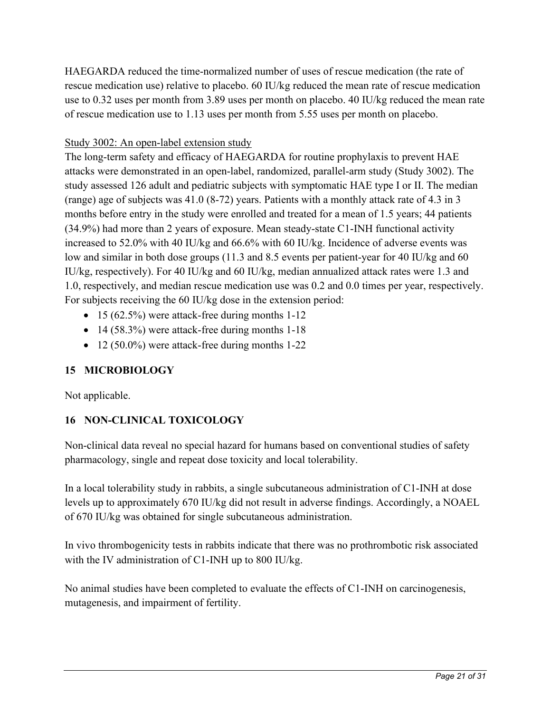HAEGARDA reduced the time-normalized number of uses of rescue medication (the rate of rescue medication use) relative to placebo. 60 IU/kg reduced the mean rate of rescue medication use to 0.32 uses per month from 3.89 uses per month on placebo. 40 IU/kg reduced the mean rate of rescue medication use to 1.13 uses per month from 5.55 uses per month on placebo.

# Study 3002: An open-label extension study

The long-term safety and efficacy of HAEGARDA for routine prophylaxis to prevent HAE attacks were demonstrated in an open-label, randomized, parallel-arm study (Study 3002). The study assessed 126 adult and pediatric subjects with symptomatic HAE type I or II. The median (range) age of subjects was 41.0 (8-72) years. Patients with a monthly attack rate of 4.3 in 3 months before entry in the study were enrolled and treated for a mean of 1.5 years; 44 patients (34.9%) had more than 2 years of exposure. Mean steady-state C1-INH functional activity increased to 52.0% with 40 IU/kg and 66.6% with 60 IU/kg. Incidence of adverse events was low and similar in both dose groups (11.3 and 8.5 events per patient-year for 40 IU/kg and 60 IU/kg, respectively). For 40 IU/kg and 60 IU/kg, median annualized attack rates were 1.3 and 1.0, respectively, and median rescue medication use was 0.2 and 0.0 times per year, respectively. For subjects receiving the 60 IU/kg dose in the extension period:

- 15 (62.5%) were attack-free during months 1-12
- 14 (58.3%) were attack-free during months 1-18
- 12 (50.0%) were attack-free during months 1-22

# <span id="page-20-0"></span>**15 MICROBIOLOGY**

Not applicable.

# <span id="page-20-1"></span>**16 NON-CLINICAL TOXICOLOGY**

Non-clinical data reveal no special hazard for humans based on conventional studies of safety pharmacology, single and repeat dose toxicity and local tolerability.

In a local tolerability study in rabbits, a single subcutaneous administration of C1-INH at dose levels up to approximately 670 IU/kg did not result in adverse findings. Accordingly, a NOAEL of 670 IU/kg was obtained for single subcutaneous administration.

In vivo thrombogenicity tests in rabbits indicate that there was no prothrombotic risk associated with the IV administration of C1-INH up to 800 IU/kg.

No animal studies have been completed to evaluate the effects of C1-INH on carcinogenesis, mutagenesis, and impairment of fertility.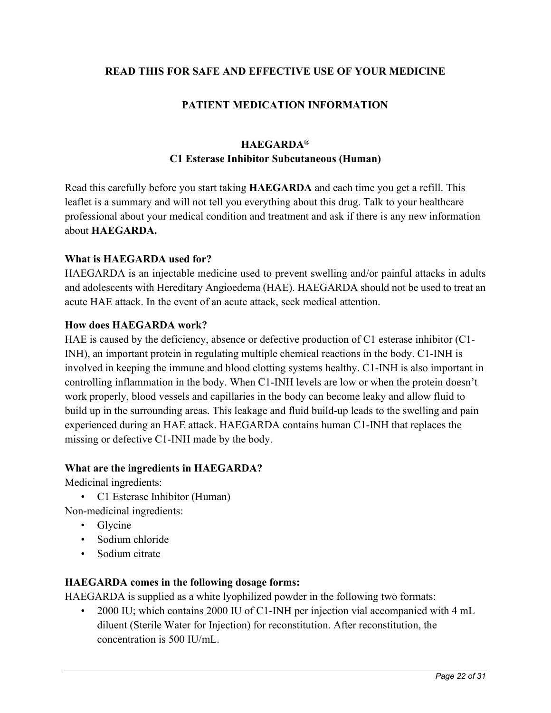## <span id="page-21-0"></span>**READ THIS FOR SAFE AND EFFECTIVE USE OF YOUR MEDICINE**

# **PATIENT MEDICATION INFORMATION**

# **HAEGARDA® C1 Esterase Inhibitor Subcutaneous (Human)**

Read this carefully before you start taking **HAEGARDA** and each time you get a refill. This leaflet is a summary and will not tell you everything about this drug. Talk to your healthcare professional about your medical condition and treatment and ask if there is any new information about **HAEGARDA.**

#### **What is HAEGARDA used for?**

HAEGARDA is an injectable medicine used to prevent swelling and/or painful attacks in adults and adolescents with Hereditary Angioedema (HAE). HAEGARDA should not be used to treat an acute HAE attack. In the event of an acute attack, seek medical attention.

#### **How does HAEGARDA work?**

HAE is caused by the deficiency, absence or defective production of C1 esterase inhibitor (C1- INH), an important protein in regulating multiple chemical reactions in the body. C1-INH is involved in keeping the immune and blood clotting systems healthy. C1-INH is also important in controlling inflammation in the body. When C1-INH levels are low or when the protein doesn't work properly, blood vessels and capillaries in the body can become leaky and allow fluid to build up in the surrounding areas. This leakage and fluid build-up leads to the swelling and pain experienced during an HAE attack. HAEGARDA contains human C1-INH that replaces the missing or defective C1-INH made by the body.

#### **What are the ingredients in HAEGARDA?**

Medicinal ingredients:

• C1 Esterase Inhibitor (Human)

Non-medicinal ingredients:

- Glycine
- Sodium chloride
- Sodium citrate

### **HAEGARDA comes in the following dosage forms:**

HAEGARDA is supplied as a white lyophilized powder in the following two formats:

• 2000 IU; which contains 2000 IU of C1-INH per injection vial accompanied with 4 mL diluent (Sterile Water for Injection) for reconstitution. After reconstitution, the concentration is 500 IU/mL.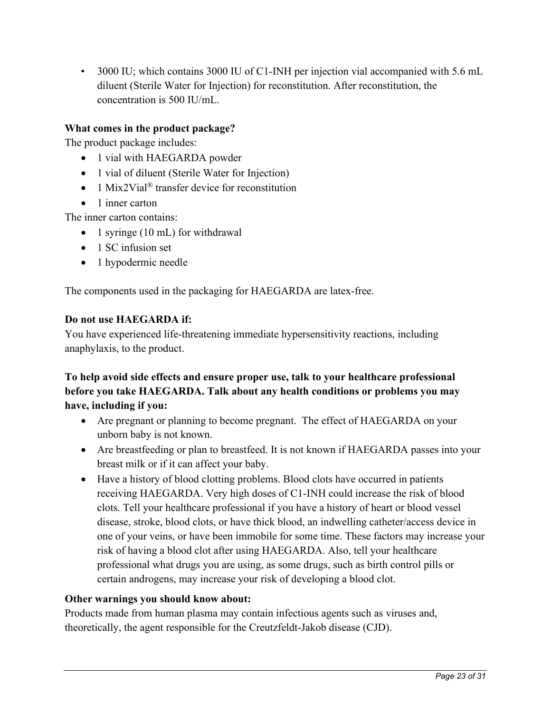• 3000 IU; which contains 3000 IU of C1-INH per injection vial accompanied with 5.6 mL diluent (Sterile Water for Injection) for reconstitution. After reconstitution, the concentration is 500 IU/mL.

# **What comes in the product package?**

The product package includes:

- 1 vial with HAEGARDA powder
- 1 vial of diluent (Sterile Water for Injection)
- 1 Mix2Vial<sup>®</sup> transfer device for reconstitution
- 1 inner carton

The inner carton contains:

- 1 syringe (10 mL) for withdrawal
- 1 SC infusion set
- 1 hypodermic needle

The components used in the packaging for HAEGARDA are latex-free.

#### **Do not use HAEGARDA if:**

You have experienced life-threatening immediate hypersensitivity reactions, including anaphylaxis, to the product.

# **To help avoid side effects and ensure proper use, talk to your healthcare professional before you take HAEGARDA. Talk about any health conditions or problems you may have, including if you:**

- Are pregnant or planning to become pregnant. The effect of HAEGARDA on your unborn baby is not known.
- Are breastfeeding or plan to breastfeed. It is not known if HAEGARDA passes into your breast milk or if it can affect your baby.
- Have a history of blood clotting problems. Blood clots have occurred in patients receiving HAEGARDA. Very high doses of C1-INH could increase the risk of blood clots. Tell your healthcare professional if you have a history of heart or blood vessel disease, stroke, blood clots, or have thick blood, an indwelling catheter/access device in one of your veins, or have been immobile for some time. These factors may increase your risk of having a blood clot after using HAEGARDA. Also, tell your healthcare professional what drugs you are using, as some drugs, such as birth control pills or certain androgens, may increase your risk of developing a blood clot.

### **Other warnings you should know about:**

Products made from human plasma may contain infectious agents such as viruses and, theoretically, the agent responsible for the Creutzfeldt-Jakob disease (CJD).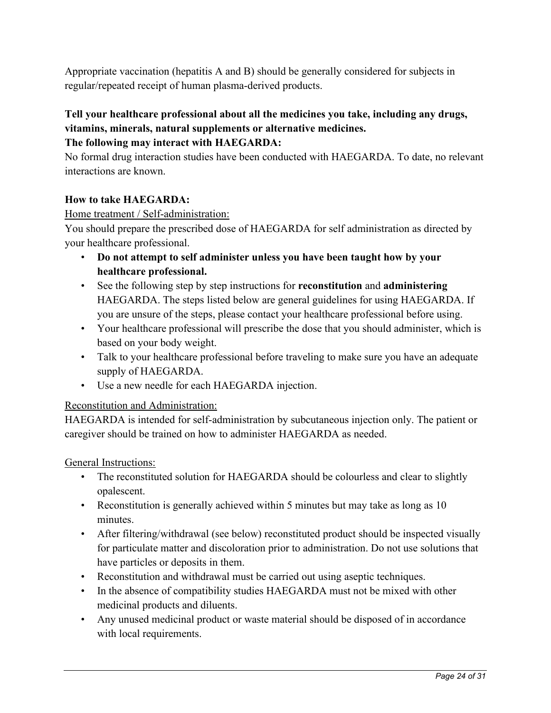Appropriate vaccination (hepatitis A and B) should be generally considered for subjects in regular/repeated receipt of human plasma-derived products.

# **Tell your healthcare professional about all the medicines you take, including any drugs, vitamins, minerals, natural supplements or alternative medicines.**

# **The following may interact with HAEGARDA:**

No formal drug interaction studies have been conducted with HAEGARDA. To date, no relevant interactions are known.

# **How to take HAEGARDA:**

### Home treatment / Self-administration:

You should prepare the prescribed dose of HAEGARDA for self administration as directed by your healthcare professional.

- **Do not attempt to self administer unless you have been taught how by your healthcare professional.**
- See the following step by step instructions for **reconstitution** and **administering** HAEGARDA. The steps listed below are general guidelines for using HAEGARDA. If you are unsure of the steps, please contact your healthcare professional before using.
- Your healthcare professional will prescribe the dose that you should administer, which is based on your body weight.
- Talk to your healthcare professional before traveling to make sure you have an adequate supply of HAEGARDA.
- Use a new needle for each HAEGARDA injection.

### Reconstitution and Administration:

HAEGARDA is intended for self-administration by subcutaneous injection only. The patient or caregiver should be trained on how to administer HAEGARDA as needed.

General Instructions:

- The reconstituted solution for HAEGARDA should be colourless and clear to slightly opalescent.
- Reconstitution is generally achieved within 5 minutes but may take as long as 10 minutes.
- After filtering/withdrawal (see below) reconstituted product should be inspected visually for particulate matter and discoloration prior to administration. Do not use solutions that have particles or deposits in them.
- Reconstitution and withdrawal must be carried out using aseptic techniques.
- In the absence of compatibility studies HAEGARDA must not be mixed with other medicinal products and diluents.
- Any unused medicinal product or waste material should be disposed of in accordance with local requirements.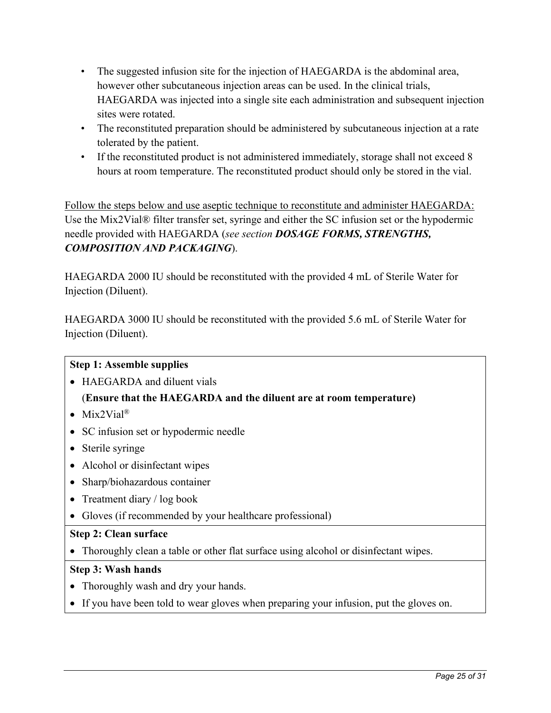- The suggested infusion site for the injection of HAEGARDA is the abdominal area, however other subcutaneous injection areas can be used. In the clinical trials, HAEGARDA was injected into a single site each administration and subsequent injection sites were rotated.
- The reconstituted preparation should be administered by subcutaneous injection at a rate tolerated by the patient.
- If the reconstituted product is not administered immediately, storage shall not exceed 8 hours at room temperature. The reconstituted product should only be stored in the vial.

Follow the steps below and use aseptic technique to reconstitute and administer HAEGARDA: Use the Mix2Vial® filter transfer set, syringe and either the SC infusion set or the hypodermic needle provided with HAEGARDA (*see section [DOSAGE FORMS, STRENGTHS,](#page-8-2)  [COMPOSITION AND PACKAGING](#page-8-2)*).

HAEGARDA 2000 IU should be reconstituted with the provided 4 mL of Sterile Water for Injection (Diluent).

HAEGARDA 3000 IU should be reconstituted with the provided 5.6 mL of Sterile Water for Injection (Diluent).

# **Step 1: Assemble supplies**

• HAEGARDA and diluent vials

# (**Ensure that the HAEGARDA and the diluent are at room temperature)**

- Mix2Vial<sup>®</sup>
- SC infusion set or hypodermic needle
- Sterile syringe
- Alcohol or disinfectant wipes
- Sharp/biohazardous container
- Treatment diary / log book
- Gloves (if recommended by your healthcare professional)

### **Step 2: Clean surface**

• Thoroughly clean a table or other flat surface using alcohol or disinfectant wipes.

### **Step 3: Wash hands**

- Thoroughly wash and dry your hands.
- If you have been told to wear gloves when preparing your infusion, put the gloves on.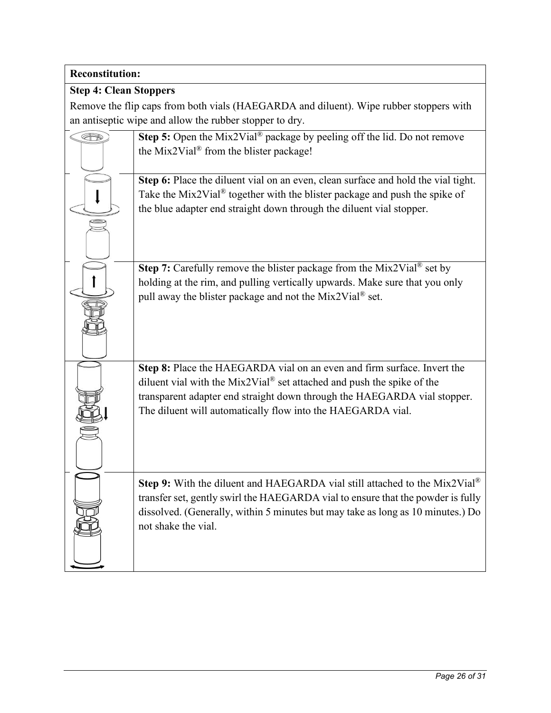# **Reconstitution:**

# **Step 4: Clean Stoppers**

Remove the flip caps from both vials (HAEGARDA and diluent). Wipe rubber stoppers with an antiseptic wipe and allow the rubber stopper to dry.

| Æ | Step 5: Open the Mix2Vial <sup>®</sup> package by peeling off the lid. Do not remove<br>the Mix2Vial <sup>®</sup> from the blister package! |
|---|---------------------------------------------------------------------------------------------------------------------------------------------|
|   | Step 6: Place the diluent vial on an even, clean surface and hold the vial tight.                                                           |
|   | Take the Mix2Vial® together with the blister package and push the spike of                                                                  |
|   | the blue adapter end straight down through the diluent vial stopper.                                                                        |
|   |                                                                                                                                             |
|   | <b>Step 7:</b> Carefully remove the blister package from the Mix2Vial <sup>®</sup> set by                                                   |
|   | holding at the rim, and pulling vertically upwards. Make sure that you only                                                                 |
|   | pull away the blister package and not the Mix2Vial® set.                                                                                    |
|   | Step 8: Place the HAEGARDA vial on an even and firm surface. Invert the                                                                     |
|   | diluent vial with the Mix2Vial® set attached and push the spike of the                                                                      |
|   | transparent adapter end straight down through the HAEGARDA vial stopper.<br>The diluent will automatically flow into the HAEGARDA vial.     |
|   |                                                                                                                                             |
|   |                                                                                                                                             |
|   |                                                                                                                                             |
|   | <b>Step 9:</b> With the diluent and HAEGARDA vial still attached to the Mix2Vial <sup>®</sup>                                               |
|   | transfer set, gently swirl the HAEGARDA vial to ensure that the powder is fully                                                             |
|   | dissolved. (Generally, within 5 minutes but may take as long as 10 minutes.) Do                                                             |
|   | not shake the vial.                                                                                                                         |
|   |                                                                                                                                             |
|   |                                                                                                                                             |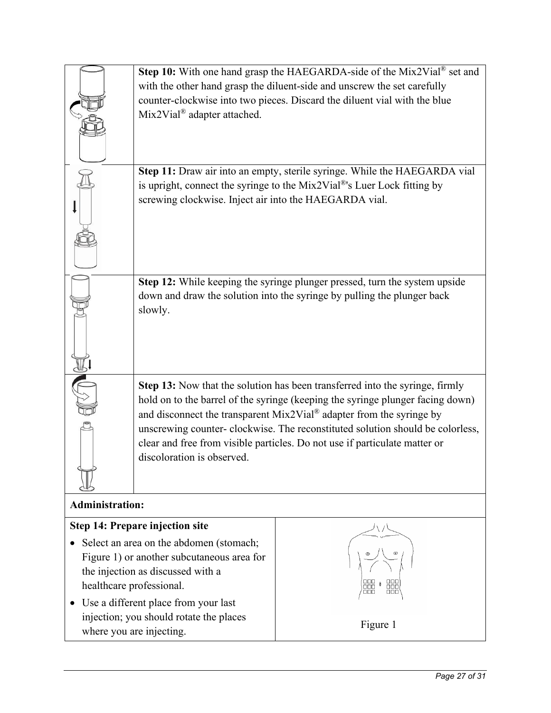|                                                                     | Step 10: With one hand grasp the HAEGARDA-side of the Mix2Vial <sup>®</sup> set and<br>with the other hand grasp the diluent-side and unscrew the set carefully<br>counter-clockwise into two pieces. Discard the diluent vial with the blue<br>Mix2Vial <sup>®</sup> adapter attached.                                                                                                                                              |                          |  |  |
|---------------------------------------------------------------------|--------------------------------------------------------------------------------------------------------------------------------------------------------------------------------------------------------------------------------------------------------------------------------------------------------------------------------------------------------------------------------------------------------------------------------------|--------------------------|--|--|
|                                                                     | Step 11: Draw air into an empty, sterile syringe. While the HAEGARDA vial<br>is upright, connect the syringe to the Mix2Vial®'s Luer Lock fitting by<br>screwing clockwise. Inject air into the HAEGARDA vial.                                                                                                                                                                                                                       |                          |  |  |
|                                                                     | Step 12: While keeping the syringe plunger pressed, turn the system upside<br>down and draw the solution into the syringe by pulling the plunger back<br>slowly.                                                                                                                                                                                                                                                                     |                          |  |  |
|                                                                     | Step 13: Now that the solution has been transferred into the syringe, firmly<br>hold on to the barrel of the syringe (keeping the syringe plunger facing down)<br>and disconnect the transparent Mix2Vial® adapter from the syringe by<br>unscrewing counter- clockwise. The reconstituted solution should be colorless,<br>clear and free from visible particles. Do not use if particulate matter or<br>discoloration is observed. |                          |  |  |
| <b>Administration:</b>                                              |                                                                                                                                                                                                                                                                                                                                                                                                                                      |                          |  |  |
|                                                                     | <b>Step 14: Prepare injection site</b><br>Select an area on the abdomen (stomach;                                                                                                                                                                                                                                                                                                                                                    |                          |  |  |
| healthcare professional.                                            | Figure 1) or another subcutaneous area for<br>the injection as discussed with a<br>Use a different place from your last                                                                                                                                                                                                                                                                                                              | 000<br>00C<br>000<br>000 |  |  |
| injection; you should rotate the places<br>where you are injecting. |                                                                                                                                                                                                                                                                                                                                                                                                                                      | Figure 1                 |  |  |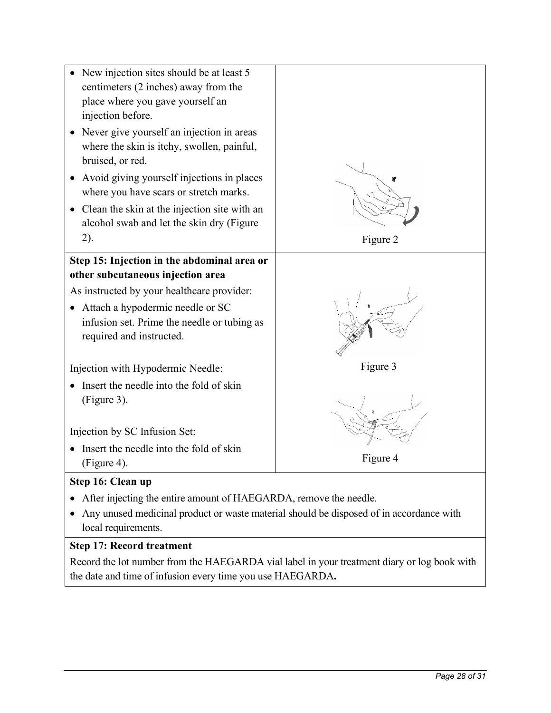

# **Step 17: Record treatment**

Record the lot number from the HAEGARDA vial label in your treatment diary or log book with the date and time of infusion every time you use HAEGARDA**.**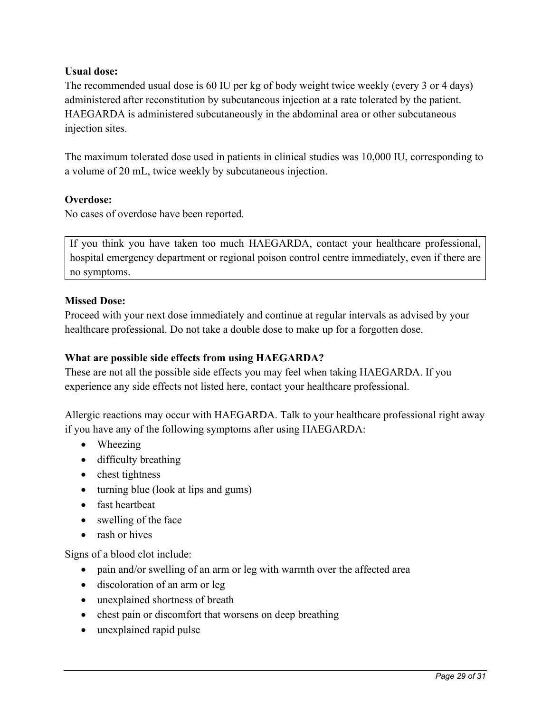## **Usual dose:**

The recommended usual dose is 60 IU per kg of body weight twice weekly (every 3 or 4 days) administered after reconstitution by subcutaneous injection at a rate tolerated by the patient. HAEGARDA is administered subcutaneously in the abdominal area or other subcutaneous injection sites.

The maximum tolerated dose used in patients in clinical studies was 10,000 IU, corresponding to a volume of 20 mL, twice weekly by subcutaneous injection.

### **Overdose:**

No cases of overdose have been reported.

If you think you have taken too much HAEGARDA, contact your healthcare professional, hospital emergency department or regional poison control centre immediately, even if there are no symptoms.

### **Missed Dose:**

Proceed with your next dose immediately and continue at regular intervals as advised by your healthcare professional. Do not take a double dose to make up for a forgotten dose.

# **What are possible side effects from using HAEGARDA?**

These are not all the possible side effects you may feel when taking HAEGARDA. If you experience any side effects not listed here, contact your healthcare professional.

Allergic reactions may occur with HAEGARDA. Talk to your healthcare professional right away if you have any of the following symptoms after using HAEGARDA:

- Wheezing
- difficulty breathing
- chest tightness
- turning blue (look at lips and gums)
- fast heartbeat
- swelling of the face
- rash or hives

Signs of a blood clot include:

- pain and/or swelling of an arm or leg with warmth over the affected area
- discoloration of an arm or leg
- unexplained shortness of breath
- chest pain or discomfort that worsens on deep breathing
- unexplained rapid pulse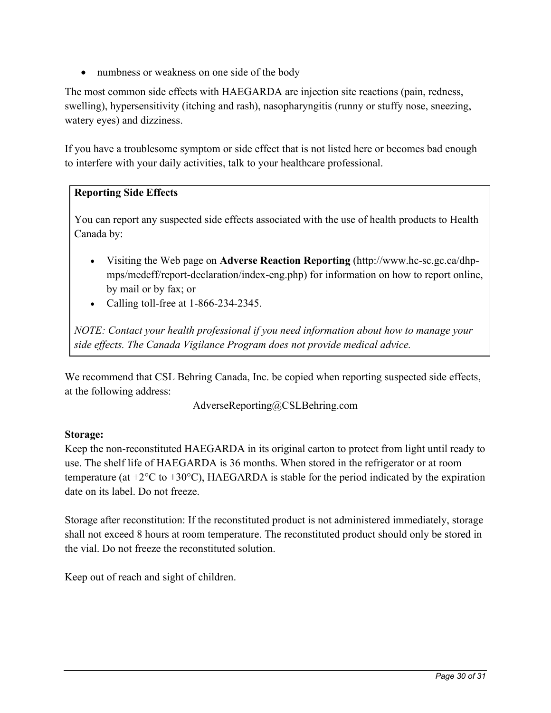• numbness or weakness on one side of the body

The most common side effects with HAEGARDA are injection site reactions (pain, redness, swelling), hypersensitivity (itching and rash), nasopharyngitis (runny or stuffy nose, sneezing, watery eyes) and dizziness.

If you have a troublesome symptom or side effect that is not listed here or becomes bad enough to interfere with your daily activities, talk to your healthcare professional.

### **Reporting Side Effects**

You can report any suspected side effects associated with the use of health products to Health Canada by:

- Visiting the Web page on **[Adverse Reaction Reporting](http://www.hc-sc.gc.ca/dhp-mps/medeff/report-declaration/index-eng.php)** [\(http://www.hc-sc.gc.ca/dhp](http://www.hc-sc.gc.ca/dhp-mps/medeff/report-declaration/index-eng.php)[mps/medeff/report-declaration/index-eng.php\)](http://www.hc-sc.gc.ca/dhp-mps/medeff/report-declaration/index-eng.php) for information on how to report online, by mail or by fax; or
- Calling toll-free at 1-866-234-2345.

*NOTE: Contact your health professional if you need information about how to manage your side effects. The Canada Vigilance Program does not provide medical advice.*

We recommend that CSL Behring Canada, Inc. be copied when reporting suspected side effects, at the following address:

[AdverseReporting@CSLBehring.com](mailto:AdverseReporting@CSLBehring.com)

### **Storage:**

Keep the non-reconstituted HAEGARDA in its original carton to protect from light until ready to use. The shelf life of HAEGARDA is 36 months. When stored in the refrigerator or at room temperature (at  $+2^{\circ}\text{C}$  to  $+30^{\circ}\text{C}$ ), HAEGARDA is stable for the period indicated by the expiration date on its label. Do not freeze.

Storage after reconstitution: If the reconstituted product is not administered immediately, storage shall not exceed 8 hours at room temperature. The reconstituted product should only be stored in the vial. Do not freeze the reconstituted solution.

Keep out of reach and sight of children.